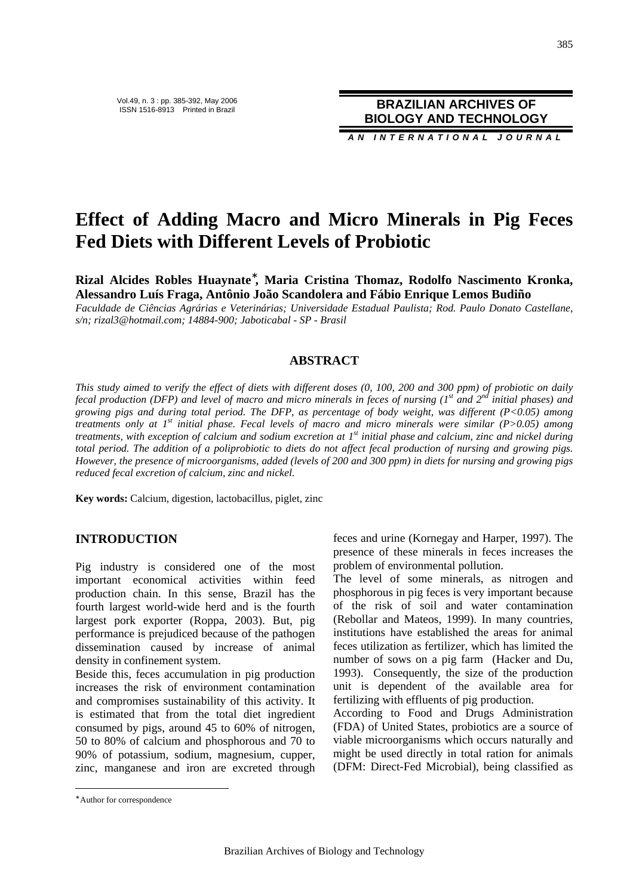**BRAZILIAN ARCHIVES OF BIOLOGY AND TECHNOLOGY**

**A N I N T E R N A T I O N A L J O U R N A L**

# **Effect of Adding Macro and Micro Minerals in Pig Feces Fed Diets with Different Levels of Probiotic**

**Rizal Alcides Robles Huaynate**<sup>∗</sup> **, Maria Cristina Thomaz, Rodolfo Nascimento Kronka, Alessandro Luís Fraga, Antônio João Scandolera and Fábio Enrique Lemos Budiño** 

*Faculdade de Ciências Agrárias e Veterinárias; Universidade Estadual Paulista; Rod. Paulo Donato Castellane, s/n; rizal3@hotmail.com; 14884-900; Jaboticabal - SP - Brasil* 

## **ABSTRACT**

*This study aimed to verify the effect of diets with different doses (0, 100, 200 and 300 ppm) of probiotic on daily fecal production (DFP) and level of macro and micro minerals in feces of nursing (1st and 2nd initial phases) and growing pigs and during total period. The DFP, as percentage of body weight, was different (P<0.05) among treatments only at 1st initial phase. Fecal levels of macro and micro minerals were similar (P>0.05) among treatments, with exception of calcium and sodium excretion at 1st initial phase and calcium, zinc and nickel during total period. The addition of a poliprobiotic to diets do not affect fecal production of nursing and growing pigs. However, the presence of microorganisms, added (levels of 200 and 300 ppm) in diets for nursing and growing pigs reduced fecal excretion of calcium, zinc and nickel.* 

**Key words:** Calcium, digestion, lactobacillus, piglet, zinc

## **INTRODUCTION**

Pig industry is considered one of the most important economical activities within feed production chain. In this sense, Brazil has the fourth largest world-wide herd and is the fourth largest pork exporter (Roppa, 2003). But, pig performance is prejudiced because of the pathogen dissemination caused by increase of animal density in confinement system.

Beside this, feces accumulation in pig production increases the risk of environment contamination and compromises sustainability of this activity. It is estimated that from the total diet ingredient consumed by pigs, around 45 to 60% of nitrogen, 50 to 80% of calcium and phosphorous and 70 to 90% of potassium, sodium, magnesium, cupper, zinc, manganese and iron are excreted through feces and urine (Kornegay and Harper, 1997). The presence of these minerals in feces increases the problem of environmental pollution.

The level of some minerals, as nitrogen and phosphorous in pig feces is very important because of the risk of soil and water contamination (Rebollar and Mateos, 1999). In many countries, institutions have established the areas for animal feces utilization as fertilizer, which has limited the number of sows on a pig farm (Hacker and Du, 1993). Consequently, the size of the production unit is dependent of the available area for fertilizing with effluents of pig production.

According to Food and Drugs Administration (FDA) of United States, probiotics are a source of viable microorganisms which occurs naturally and might be used directly in total ration for animals (DFM: Direct-Fed Microbial), being classified as

 $\overline{a}$ 

<sup>∗</sup> Author for correspondence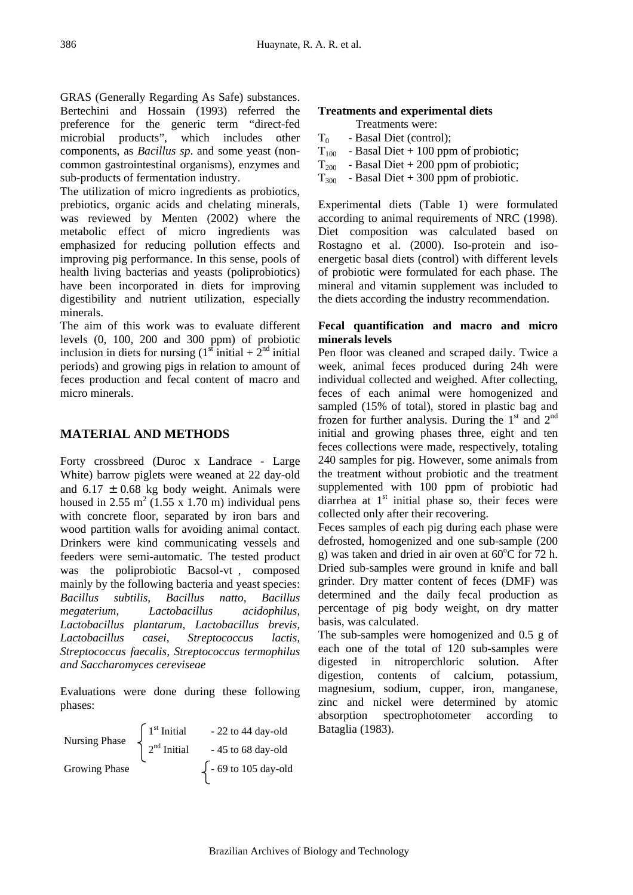GRAS (Generally Regarding As Safe) substances. Bertechini and Hossain (1993) referred the preference for the generic term "direct-fed microbial products", which includes other components, as *Bacillus sp*. and some yeast (noncommon gastrointestinal organisms), enzymes and sub-products of fermentation industry.

The utilization of micro ingredients as probiotics, prebiotics, organic acids and chelating minerals, was reviewed by Menten (2002) where the metabolic effect of micro ingredients was emphasized for reducing pollution effects and improving pig performance. In this sense, pools of health living bacterias and yeasts (poliprobiotics) have been incorporated in diets for improving digestibility and nutrient utilization, especially minerals.

The aim of this work was to evaluate different levels (0, 100, 200 and 300 ppm) of probiotic inclusion in diets for nursing  $(1<sup>st</sup> initial + 2<sup>nd</sup> initial)$ periods) and growing pigs in relation to amount of feces production and fecal content of macro and micro minerals.

# **MATERIAL AND METHODS**

Forty crossbreed (Duroc x Landrace - Large White) barrow piglets were weaned at 22 day-old and  $6.17 \pm 0.68$  kg body weight. Animals were housed in 2.55  $m^2$  (1.55 x 1.70 m) individual pens with concrete floor, separated by iron bars and wood partition walls for avoiding animal contact. Drinkers were kind communicating vessels and feeders were semi-automatic. The tested product was the poliprobiotic Bacsol-vt®, composed mainly by the following bacteria and yeast species: *Bacillus subtilis, Bacillus natto, Bacillus megaterium, Lactobacillus acidophilus, Lactobacillus plantarum, Lactobacillus brevis, Lactobacillus casei, Streptococcus lactis, Streptococcus faecalis, Streptococcus termophilus and Saccharomyces cereviseae* 

Evaluations were done during these following phases:

| Nursing Phase | $\int 1^{st}$ Initial            | - 22 to 44 day-old         |
|---------------|----------------------------------|----------------------------|
|               | $\Big\}$ 2 <sup>nd</sup> Initial | - 45 to 68 day-old         |
| Growing Phase |                                  | $\int$ - 69 to 105 day-old |

## **Treatments and experimental diets**

|           | Treatments were:                      |
|-----------|---------------------------------------|
| $T_0$     | - Basal Diet (control);               |
| $T_{100}$ | - Basal Diet $+100$ ppm of probiotic; |
| $T_{200}$ | - Basal Diet $+200$ ppm of probiotic; |
| $T_{300}$ | - Basal Diet $+300$ ppm of probiotic. |

Experimental diets (Table 1) were formulated according to animal requirements of NRC (1998). Diet composition was calculated based on Rostagno et al. (2000). Iso-protein and isoenergetic basal diets (control) with different levels of probiotic were formulated for each phase. The mineral and vitamin supplement was included to the diets according the industry recommendation.

# **Fecal quantification and macro and micro minerals levels**

Pen floor was cleaned and scraped daily. Twice a week, animal feces produced during 24h were individual collected and weighed. After collecting, feces of each animal were homogenized and sampled (15% of total), stored in plastic bag and frozen for further analysis. During the  $1<sup>st</sup>$  and  $2<sup>nd</sup>$ initial and growing phases three, eight and ten feces collections were made, respectively, totaling 240 samples for pig. However, some animals from the treatment without probiotic and the treatment supplemented with 100 ppm of probiotic had diarrhea at  $1<sup>st</sup>$  initial phase so, their feces were collected only after their recovering.

Feces samples of each pig during each phase were defrosted, homogenized and one sub-sample (200 g) was taken and dried in air oven at  $60^{\circ}$ C for 72 h. Dried sub-samples were ground in knife and ball grinder. Dry matter content of feces (DMF) was determined and the daily fecal production as percentage of pig body weight, on dry matter basis, was calculated.

The sub-samples were homogenized and 0.5 g of each one of the total of 120 sub-samples were digested in nitroperchloric solution. After digestion, contents of calcium, potassium, magnesium, sodium, cupper, iron, manganese, zinc and nickel were determined by atomic absorption spectrophotometer according to Bataglia (1983).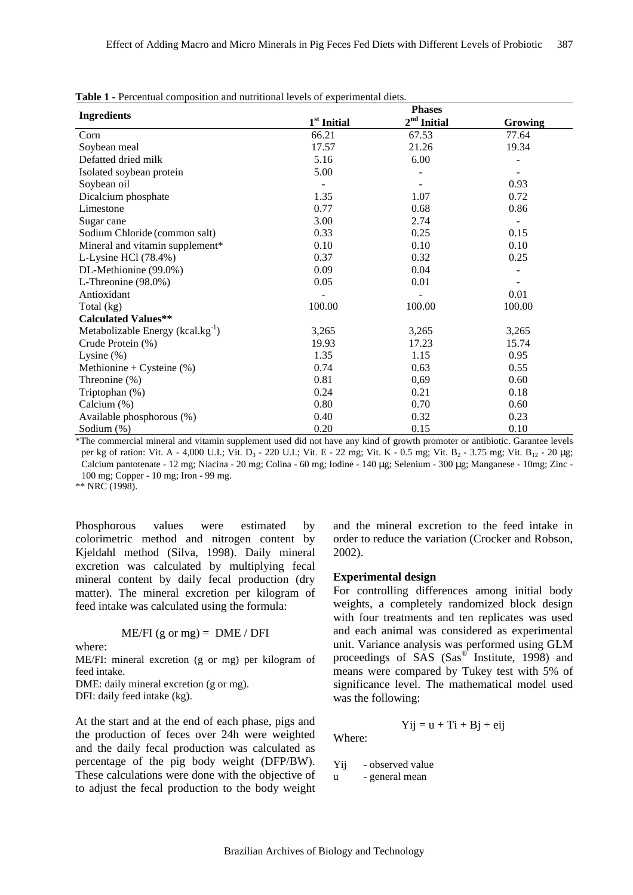|  |  |  |  |  | <b>Table 1 - Percentual composition and nutritional levels of experimental diets.</b> |
|--|--|--|--|--|---------------------------------------------------------------------------------------|
|--|--|--|--|--|---------------------------------------------------------------------------------------|

|                                         | <b>Phases</b>           |               |                |  |  |
|-----------------------------------------|-------------------------|---------------|----------------|--|--|
| <b>Ingredients</b>                      | 1 <sup>st</sup> Initial | $2nd$ Initial | <b>Growing</b> |  |  |
| Corn                                    | 66.21                   | 67.53         | 77.64          |  |  |
| Soybean meal                            | 17.57                   | 21.26         | 19.34          |  |  |
| Defatted dried milk                     | 5.16                    | 6.00          |                |  |  |
| Isolated soybean protein                | 5.00                    |               |                |  |  |
| Soybean oil                             |                         |               | 0.93           |  |  |
| Dicalcium phosphate                     | 1.35                    | 1.07          | 0.72           |  |  |
| Limestone                               | 0.77                    | 0.68          | 0.86           |  |  |
| Sugar cane                              | 3.00                    | 2.74          |                |  |  |
| Sodium Chloride (common salt)           | 0.33                    | 0.25          | 0.15           |  |  |
| Mineral and vitamin supplement*         | 0.10                    | 0.10          | 0.10           |  |  |
| L-Lysine HCl (78.4%)                    | 0.37                    | 0.32          | 0.25           |  |  |
| DL-Methionine (99.0%)                   | 0.09                    | 0.04          |                |  |  |
| L-Threonine (98.0%)                     | 0.05                    | 0.01          |                |  |  |
| Antioxidant                             |                         |               | 0.01           |  |  |
| Total (kg)                              | 100.00                  | 100.00        | 100.00         |  |  |
| <b>Calculated Values**</b>              |                         |               |                |  |  |
| Metabolizable Energy ( $kcal/kg^{-1}$ ) | 3,265                   | 3,265         | 3,265          |  |  |
| Crude Protein (%)                       | 19.93                   | 17.23         | 15.74          |  |  |
| Lysine $(\%)$                           | 1.35                    | 1.15          | 0.95           |  |  |
| Methionine + Cysteine $(\%)$            | 0.74                    | 0.63          | 0.55           |  |  |
| Threonine (%)                           | 0.81                    | 0,69          | 0.60           |  |  |
| Triptophan (%)                          | 0.24                    | 0.21          | 0.18           |  |  |
| Calcium (%)                             | 0.80                    | 0.70          | 0.60           |  |  |
| Available phosphorous (%)               | 0.40                    | 0.32          | 0.23           |  |  |
| Sodium (%)                              | 0.20                    | 0.15          | 0.10           |  |  |

\*The commercial mineral and vitamin supplement used did not have any kind of growth promoter or antibiotic. Garantee levels per kg of ration: Vit. A - 4,000 U.I.; Vit. D<sub>3</sub> - 220 U.I.; Vit. E - 22 mg; Vit. K - 0.5 mg; Vit. B<sub>2</sub> - 3.75 mg; Vit. B<sub>12</sub> - 20 µg; Calcium pantotenate - 12 mg; Niacina - 20 mg; Colina - 60 mg; Iodine - 140 µg; Selenium - 300 µg; Manganese - 10mg; Zinc - 100 mg; Copper - 10 mg; Iron - 99 mg.

\*\* NRC (1998).

Phosphorous values were estimated by colorimetric method and nitrogen content by Kjeldahl method (Silva, 1998). Daily mineral excretion was calculated by multiplying fecal mineral content by daily fecal production (dry matter). The mineral excretion per kilogram of feed intake was calculated using the formula:

$$
ME/FI (g or mg) = DME / DFI
$$

where:

ME/FI: mineral excretion (g or mg) per kilogram of feed intake.

DME: daily mineral excretion (g or mg). DFI: daily feed intake (kg).

At the start and at the end of each phase, pigs and the production of feces over 24h were weighted and the daily fecal production was calculated as percentage of the pig body weight (DFP/BW). These calculations were done with the objective of to adjust the fecal production to the body weight

and the mineral excretion to the feed intake in order to reduce the variation (Crocker and Robson, 2002).

#### **Experimental design**

For controlling differences among initial body weights, a completely randomized block design with four treatments and ten replicates was used and each animal was considered as experimental unit. Variance analysis was performed using GLM proceedings of SAS (Sas® Institute, 1998) and means were compared by Tukey test with 5% of significance level. The mathematical model used was the following:

$$
Yij = u + Ti + Bj + eij
$$

Where:

Yij - observed value

u - general mean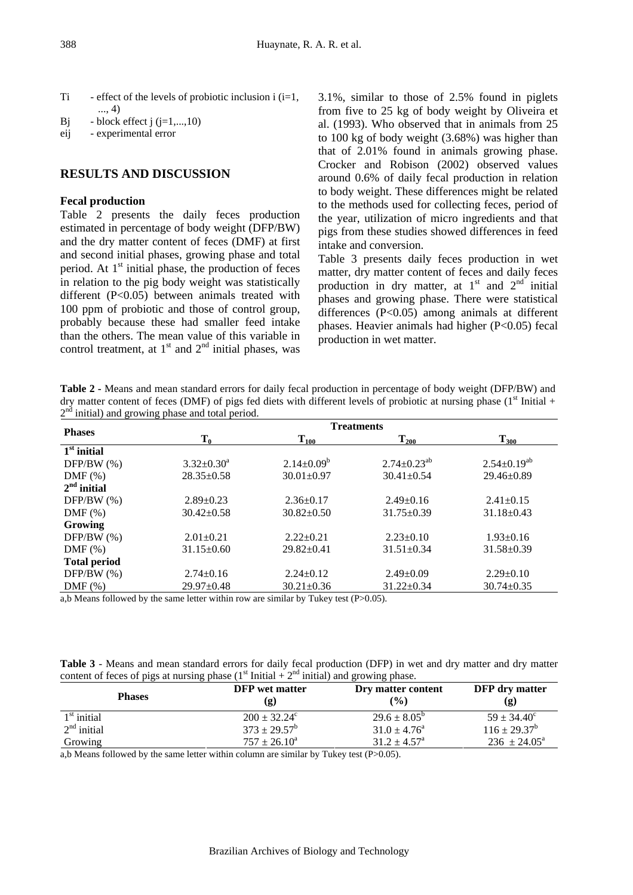- Ti effect of the levels of probiotic inclusion i  $(i=1,$ ..., 4)
- Bj block effect j  $(j=1,...,10)$
- eij experimental error

# **RESULTS AND DISCUSSION**

#### **Fecal production**

Table 2 presents the daily feces production estimated in percentage of body weight (DFP/BW) and the dry matter content of feces (DMF) at first and second initial phases, growing phase and total period. At  $1<sup>st</sup>$  initial phase, the production of feces in relation to the pig body weight was statistically different (P<0.05) between animals treated with 100 ppm of probiotic and those of control group, probably because these had smaller feed intake than the others. The mean value of this variable in control treatment, at  $1<sup>st</sup>$  and  $2<sup>nd</sup>$  initial phases, was

3.1%, similar to those of 2.5% found in piglets from five to 25 kg of body weight by Oliveira et al. (1993). Who observed that in animals from 25 to 100 kg of body weight (3.68%) was higher than that of 2.01% found in animals growing phase. Crocker and Robison (2002) observed values around 0.6% of daily fecal production in relation to body weight. These differences might be related to the methods used for collecting feces, period of the year, utilization of micro ingredients and that pigs from these studies showed differences in feed intake and conversion.

Table 3 presents daily feces production in wet matter, dry matter content of feces and daily feces production in dry matter, at  $1<sup>st</sup>$  and  $2<sup>nd</sup>$  initial phases and growing phase. There were statistical differences (P<0.05) among animals at different phases. Heavier animals had higher (P<0.05) fecal production in wet matter.

| Table 2 - Means and mean standard errors for daily fecal production in percentage of body weight (DFP/BW) and            |  |  |  |  |
|--------------------------------------------------------------------------------------------------------------------------|--|--|--|--|
| dry matter content of feces (DMF) of pigs fed diets with different levels of probiotic at nursing phase $(1st Initial +$ |  |  |  |  |
| $2nd$ initial) and growing phase and total period.                                                                       |  |  |  |  |

|                                                |                            | <b>Treatments</b> |                                  |                      |  |  |
|------------------------------------------------|----------------------------|-------------------|----------------------------------|----------------------|--|--|
| <b>Phases</b>                                  | $\mathbf{T_0}$             | $\rm T_{100}$     | $T_{200}$                        | $T_{300}$            |  |  |
| $1st$ initial                                  |                            |                   |                                  |                      |  |  |
| $DFP/BW$ (%)                                   | $3.32 \pm 0.30^a$          | $2.14 \pm 0.09^b$ | $2.74 \pm 0.23$ <sup>ab</sup>    | $2.54 \pm 0.19^{ab}$ |  |  |
| $DMF$ $%$                                      | $28.35 \pm 0.58$           | $30.01 \pm 0.97$  | $30.41 \pm 0.54$                 | $29.46 \pm 0.89$     |  |  |
| $2nd$ initial                                  |                            |                   |                                  |                      |  |  |
| $DFP/BW$ (%)                                   | $2.89 \pm 0.23$            | $2.36 \pm 0.17$   | $2.49\pm0.16$                    | $2.41 \pm 0.15$      |  |  |
| $DMF(\%)$                                      | $30.42 \pm 0.58$           | $30.82 \pm 0.50$  | $31.75 \pm 0.39$                 | $31.18 \pm 0.43$     |  |  |
| Growing                                        |                            |                   |                                  |                      |  |  |
| $DFP/BW$ (%)                                   | $2.01 \pm 0.21$            | $2.22+0.21$       | $2.23 \pm 0.10$                  | $1.93 \pm 0.16$      |  |  |
| $DMF$ (%)                                      | $31.15 \pm 0.60$           | $29.82 \pm 0.41$  | $31.51 \pm 0.34$                 | $31.58 \pm 0.39$     |  |  |
| <b>Total period</b>                            |                            |                   |                                  |                      |  |  |
| $DFP/BW$ (%)                                   | $2.74 \pm 0.16$            | $2.24 \pm 0.12$   | $2.49 \pm 0.09$                  | $2.29 \pm 0.10$      |  |  |
| $DMF$ $%$                                      | $29.97 \pm 0.48$           | $30.21 \pm 0.36$  | $31.22 \pm 0.34$                 | $30.74 \pm 0.35$     |  |  |
| 0.11<br>$\mathbf{1}$ $\mathbf{1}$ $\mathbf{1}$ | $\cdots$<br>$\blacksquare$ | .                 | $\sqrt{2}$ $\sqrt{2}$ $\sqrt{2}$ |                      |  |  |

a,b Means followed by the same letter within row are similar by Tukey test (P>0.05).

**Table 3** - Means and mean standard errors for daily fecal production (DFP) in wet and dry matter and dry matter content of feces of pigs at nursing phase  $(1<sup>st</sup> Initial + 2<sup>nd</sup> initial)$  and growing phase.

| <b>Phases</b>           | <b>DFP</b> wet matter<br>(g)                             | Dry matter content<br>$($ %) | DFP dry matter<br>(g)   |  |
|-------------------------|----------------------------------------------------------|------------------------------|-------------------------|--|
| $1st$ initial           | $200 \pm 32.24^{\circ}$                                  | $29.6 \pm 8.05^{\circ}$      | $59 \pm 34.40^{\circ}$  |  |
| $2nd$ initial           | $373 \pm 29.57^{\rm b}$                                  | $31.0 \pm 4.76^{\circ}$      | $116 \pm 29.37^b$       |  |
| Growing                 | $757 \pm 26.10^a$                                        | $31.2 \pm 4.57$ <sup>a</sup> | $236 \pm 24.05^{\circ}$ |  |
| .<br>$\sim$ $\sim$<br>. | .<br><b>Contract Contract Contract Contract Contract</b> | $-1$ $-1$ $-1$               |                         |  |

a,b Means followed by the same letter within column are similar by Tukey test (P>0.05).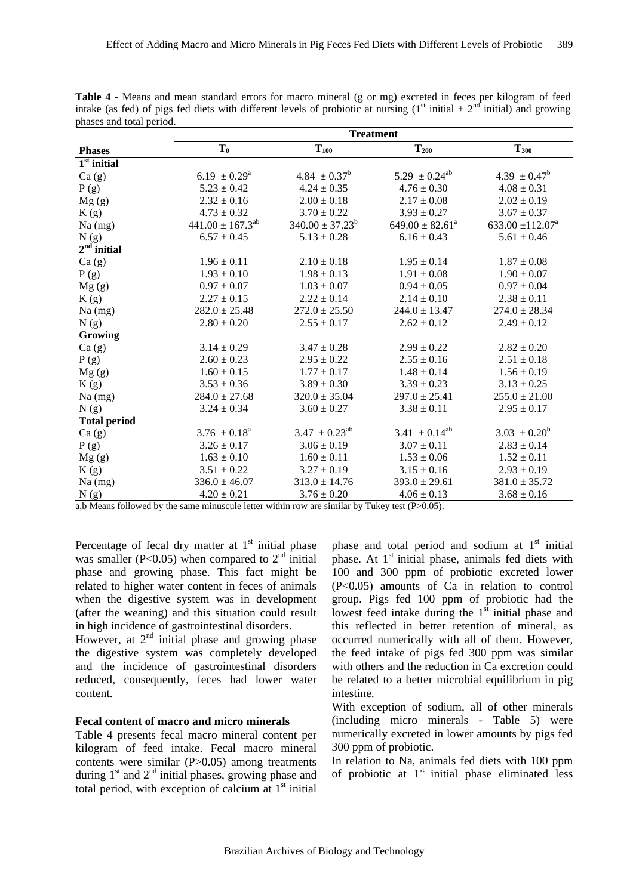|                         | <b>Treatment</b>           |                              |                               |                                  |  |
|-------------------------|----------------------------|------------------------------|-------------------------------|----------------------------------|--|
| <b>Phases</b>           | $T_0$                      | $T_{100}$                    | $T_{200}$                     | $T_{300}$                        |  |
| $1st$ initial           |                            |                              |                               |                                  |  |
| Ca(g)                   | $6.19 \pm 0.29^{\text{a}}$ | 4.84 $\pm$ 0.37 <sup>b</sup> | $5.29 \pm 0.24^{ab}$          | $4.39 \pm 0.47^b$                |  |
| P(g)                    | $5.23 \pm 0.42$            | $4.24 \pm 0.35$              | $4.76 \pm 0.30$               | $4.08 \pm 0.31$                  |  |
| Mg(g)                   | $2.32 \pm 0.16$            | $2.00 \pm 0.18$              | $2.17 \pm 0.08$               | $2.02 \pm 0.19$                  |  |
| K(g)                    | $4.73 \pm 0.32$            | $3.70 \pm 0.22$              | $3.93 \pm 0.27$               | $3.67 \pm 0.37$                  |  |
| $Na$ (mg)               | $441.00 \pm 167.3^{ab}$    | $340.00 \pm 37.23^b$         | $649.00 \pm 82.61^a$          | 633.00 $\pm$ 112.07 <sup>a</sup> |  |
| N(g)                    | $6.57 \pm 0.45$            | $5.13 \pm 0.28$              | $6.16 \pm 0.43$               | $5.61 \pm 0.46$                  |  |
| 2 <sup>nd</sup> initial |                            |                              |                               |                                  |  |
| Ca(g)                   | $1.96 \pm 0.11$            | $2.10 \pm 0.18$              | $1.95 \pm 0.14$               | $1.87 \pm 0.08$                  |  |
| P(g)                    | $1.93 \pm 0.10$            | $1.98 \pm 0.13$              | $1.91 \pm 0.08$               | $1.90 \pm 0.07$                  |  |
| Mg(g)                   | $0.97 \pm 0.07$            | $1.03 \pm 0.07$              | $0.94 \pm 0.05$               | $0.97 \pm 0.04$                  |  |
| K(g)                    | $2.27 \pm 0.15$            | $2.22 \pm 0.14$              | $2.14 \pm 0.10$               | $2.38 \pm 0.11$                  |  |
| Na (mg)                 | $282.0 \pm 25.48$          | $272.0 \pm 25.50$            | $244.0 \pm 13.47$             | $274.0 \pm 28.34$                |  |
| N(g)                    | $2.80 \pm 0.20$            | $2.55 \pm 0.17$              | $2.62 \pm 0.12$               | $2.49 \pm 0.12$                  |  |
| Growing                 |                            |                              |                               |                                  |  |
| Ca(g)                   | $3.14 \pm 0.29$            | $3.47 \pm 0.28$              | $2.99 \pm 0.22$               | $2.82 \pm 0.20$                  |  |
| P(g)                    | $2.60 \pm 0.23$            | $2.95 \pm 0.22$              | $2.55 \pm 0.16$               | $2.51 \pm 0.18$                  |  |
| Mg(g)                   | $1.60 \pm 0.15$            | $1.77 \pm 0.17$              | $1.48 \pm 0.14$               | $1.56 \pm 0.19$                  |  |
| K(g)                    | $3.53 \pm 0.36$            | $3.89 \pm 0.30$              | $3.39 \pm 0.23$               | $3.13 \pm 0.25$                  |  |
| Na (mg)                 | $284.0 \pm 27.68$          | $320.0 \pm 35.04$            | $297.0 \pm 25.41$             | $255.0 \pm 21.00$                |  |
| N(g)                    | $3.24 \pm 0.34$            | $3.60 \pm 0.27$              | $3.38 \pm 0.11$               | $2.95 \pm 0.17$                  |  |
| <b>Total period</b>     |                            |                              |                               |                                  |  |
| Ca(g)                   | $3.76 \pm 0.18^a$          | $3.47 \pm 0.23^{ab}$         | 3.41 $\pm$ 0.14 <sup>ab</sup> | $3.03 \pm 0.20^b$                |  |
| P(g)                    | $3.26 \pm 0.17$            | $3.06 \pm 0.19$              | $3.07 \pm 0.11$               | $2.83 \pm 0.14$                  |  |
| Mg(g)                   | $1.63 \pm 0.10$            | $1.60 \pm 0.11$              | $1.53 \pm 0.06$               | $1.52 \pm 0.11$                  |  |
| K(g)                    | $3.51 \pm 0.22$            | $3.27 \pm 0.19$              | $3.15 \pm 0.16$               | $2.93 \pm 0.19$                  |  |
| $Na$ (mg)               | $336.0 \pm 46.07$          | $313.0 \pm 14.76$            | $393.0 \pm 29.61$             | $381.0 \pm 35.72$                |  |
| N(g)                    | $4.20 \pm 0.21$            | $3.76 \pm 0.20$              | $4.06 \pm 0.13$               | $3.68 \pm 0.16$                  |  |

**Table 4 -** Means and mean standard errors for macro mineral (g or mg) excreted in feces per kilogram of feed intake (as fed) of pigs fed diets with different levels of probiotic at nursing  $(1<sup>st</sup> initial + 2<sup>nd</sup> initial)$  and growing phases and total period.

a,b Means followed by the same minuscule letter within row are similar by Tukey test (P>0.05).

Percentage of fecal dry matter at  $1<sup>st</sup>$  initial phase was smaller (P<0.05) when compared to  $2<sup>nd</sup>$  initial phase and growing phase. This fact might be related to higher water content in feces of animals when the digestive system was in development (after the weaning) and this situation could result in high incidence of gastrointestinal disorders.

However, at  $2<sup>nd</sup>$  initial phase and growing phase the digestive system was completely developed and the incidence of gastrointestinal disorders reduced, consequently, feces had lower water content.

#### **Fecal content of macro and micro minerals**

Table 4 presents fecal macro mineral content per kilogram of feed intake. Fecal macro mineral contents were similar (P>0.05) among treatments during  $1<sup>st</sup>$  and  $2<sup>nd</sup>$  initial phases, growing phase and total period, with exception of calcium at  $1<sup>st</sup>$  initial phase and total period and sodium at  $1<sup>st</sup>$  initial phase. At 1<sup>st</sup> initial phase, animals fed diets with 100 and 300 ppm of probiotic excreted lower (P<0.05) amounts of Ca in relation to control group. Pigs fed 100 ppm of probiotic had the lowest feed intake during the  $1<sup>st</sup>$  initial phase and this reflected in better retention of mineral, as occurred numerically with all of them. However, the feed intake of pigs fed 300 ppm was similar with others and the reduction in Ca excretion could be related to a better microbial equilibrium in pig intestine.

With exception of sodium, all of other minerals (including micro minerals - Table 5) were numerically excreted in lower amounts by pigs fed 300 ppm of probiotic.

In relation to Na, animals fed diets with 100 ppm of probiotic at  $1<sup>st</sup>$  initial phase eliminated less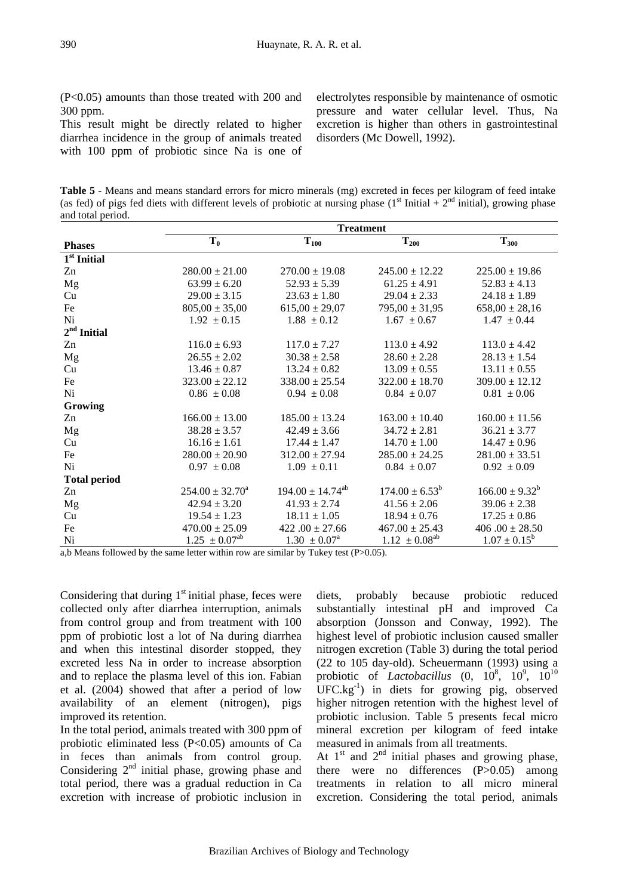(P<0.05) amounts than those treated with 200 and 300 ppm.

This result might be directly related to higher diarrhea incidence in the group of animals treated with 100 ppm of probiotic since Na is one of electrolytes responsible by maintenance of osmotic pressure and water cellular level. Thus, Na excretion is higher than others in gastrointestinal disorders (Mc Dowell, 1992).

**Table 5** - Means and means standard errors for micro minerals (mg) excreted in feces per kilogram of feed intake (as fed) of pigs fed diets with different levels of probiotic at nursing phase ( $1<sup>st</sup>$  Initial +  $2<sup>nd</sup>$  initial), growing phase and total period.

|                     | <b>Treatment</b>     |                            |                      |                     |  |
|---------------------|----------------------|----------------------------|----------------------|---------------------|--|
| <b>Phases</b>       | $T_0$                | $T_{100}$                  | $T_{200}$            | $T_{300}$           |  |
| $1st$ Initial       |                      |                            |                      |                     |  |
| Zn                  | $280.00 \pm 21.00$   | $270.00 \pm 19.08$         | $245.00 \pm 12.22$   | $225.00 \pm 19.86$  |  |
| Mg                  | $63.99 \pm 6.20$     | $52.93 \pm 5.39$           | $61.25 \pm 4.91$     | $52.83 \pm 4.13$    |  |
| Cu                  | $29.00 \pm 3.15$     | $23.63 \pm 1.80$           | $29.04 \pm 2.33$     | $24.18 \pm 1.89$    |  |
| $\rm Fe$            | $805,00 \pm 35,00$   | $615,00 \pm 29,07$         | $795,00 \pm 31,95$   | $658,00 \pm 28,16$  |  |
| Ni                  | $1.92 \pm 0.15$      | $1.88 \pm 0.12$            | $1.67 \pm 0.67$      | $1.47 \pm 0.44$     |  |
| $2nd$ Initial       |                      |                            |                      |                     |  |
| Zn                  | $116.0 \pm 6.93$     | $117.0 \pm 7.27$           | $113.0 \pm 4.92$     | $113.0 \pm 4.42$    |  |
| Mg                  | $26.55 \pm 2.02$     | $30.38 \pm 2.58$           | $28.60 \pm 2.28$     | $28.13 \pm 1.54$    |  |
| Cu                  | $13.46 \pm 0.87$     | $13.24 \pm 0.82$           | $13.09 \pm 0.55$     | $13.11 \pm 0.55$    |  |
| Fe                  | $323.00 \pm 22.12$   | $338.00 \pm 25.54$         | $322.00 \pm 18.70$   | $309.00 \pm 12.12$  |  |
| Ni                  | $0.86 \pm 0.08$      | $0.94 \pm 0.08$            | $0.84 \pm 0.07$      | $0.81 \pm 0.06$     |  |
| Growing             |                      |                            |                      |                     |  |
| Zn                  | $166.00 \pm 13.00$   | $185.00 \pm 13.24$         | $163.00 \pm 10.40$   | $160.00 \pm 11.56$  |  |
| Mg                  | $38.28 \pm 3.57$     | $42.49 \pm 3.66$           | $34.72 \pm 2.81$     | $36.21 \pm 3.77$    |  |
| Cu                  | $16.16 \pm 1.61$     | $17.44 \pm 1.47$           | $14.70 \pm 1.00$     | $14.47 \pm 0.96$    |  |
| Fe                  | $280.00 \pm 20.90$   | $312.00 \pm 27.94$         | $285.00 \pm 24.25$   | $281.00 \pm 33.51$  |  |
| Ni                  | $0.97 \pm 0.08$      | $1.09 \pm 0.11$            | $0.84 \pm 0.07$      | $0.92 \pm 0.09$     |  |
| <b>Total period</b> |                      |                            |                      |                     |  |
| Zn                  | $254.00 \pm 32.70^a$ | $194.00 \pm 14.74^{ab}$    | $174.00 \pm 6.53^b$  | $166.00 \pm 9.32^b$ |  |
| Mg                  | $42.94 \pm 3.20$     | $41.93 \pm 2.74$           | $41.56 \pm 2.06$     | $39.06 \pm 2.38$    |  |
| Cu                  | $19.54 \pm 1.23$     | $18.11 \pm 1.05$           | $18.94 \pm 0.76$     | $17.25 \pm 0.86$    |  |
| Fe                  | $470.00 \pm 25.09$   | $422.00 \pm 27.66$         | $467.00 \pm 25.43$   | $406.00 \pm 28.50$  |  |
| Ni                  | $1.25 \pm 0.07^{ab}$ | $1.30 \pm 0.07^{\text{a}}$ | $1.12 \pm 0.08^{ab}$ | $1.07 \pm 0.15^b$   |  |

a,b Means followed by the same letter within row are similar by Tukey test (P>0.05).

Considering that during  $1<sup>st</sup>$  initial phase, feces were collected only after diarrhea interruption, animals from control group and from treatment with 100 ppm of probiotic lost a lot of Na during diarrhea and when this intestinal disorder stopped, they excreted less Na in order to increase absorption and to replace the plasma level of this ion. Fabian et al. (2004) showed that after a period of low availability of an element (nitrogen), pigs improved its retention.

In the total period, animals treated with 300 ppm of probiotic eliminated less  $(P<0.05)$  amounts of Ca in feces than animals from control group. Considering  $2<sup>nd</sup>$  initial phase, growing phase and total period, there was a gradual reduction in Ca excretion with increase of probiotic inclusion in

diets, probably because probiotic reduced substantially intestinal pH and improved Ca absorption (Jonsson and Conway, 1992). The highest level of probiotic inclusion caused smaller nitrogen excretion (Table 3) during the total period (22 to 105 day-old). Scheuermann (1993) using a probiotic of *Lactobacillus*  $(0, 10^8, 10^9, 10^{10})$  $UFC.kg^{-1}$  in diets for growing pig, observed higher nitrogen retention with the highest level of probiotic inclusion. Table 5 presents fecal micro mineral excretion per kilogram of feed intake measured in animals from all treatments.

At  $1<sup>st</sup>$  and  $2<sup>nd</sup>$  initial phases and growing phase, there were no differences (P>0.05) among treatments in relation to all micro mineral excretion. Considering the total period, animals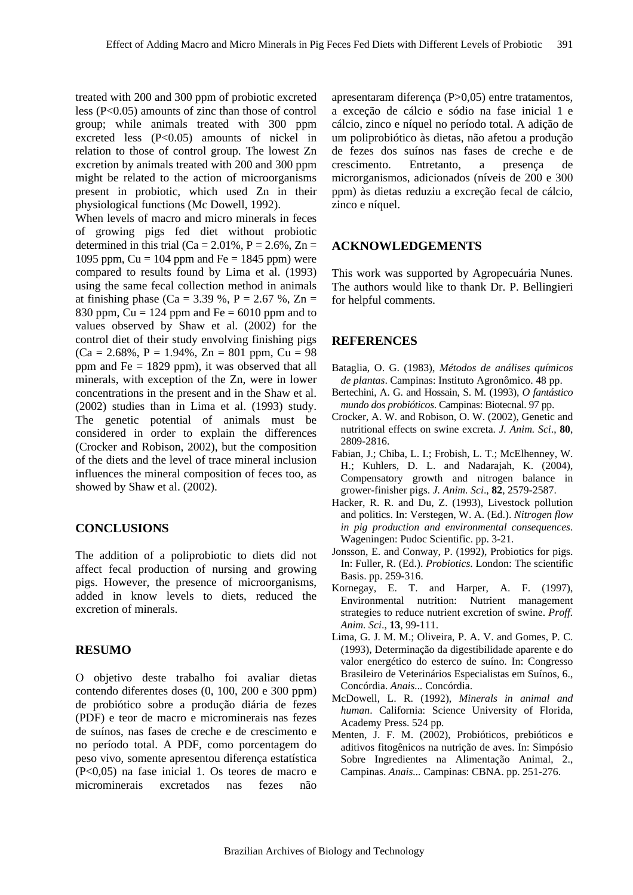treated with 200 and 300 ppm of probiotic excreted less (P<0.05) amounts of zinc than those of control group; while animals treated with 300 ppm excreted less (P<0.05) amounts of nickel in relation to those of control group. The lowest Zn excretion by animals treated with 200 and 300 ppm might be related to the action of microorganisms present in probiotic, which used Zn in their physiological functions (Mc Dowell, 1992).

When levels of macro and micro minerals in feces of growing pigs fed diet without probiotic determined in this trial (Ca =  $2.01\%$ , P =  $2.6\%$ , Zn = 1095 ppm,  $Cu = 104$  ppm and  $Fe = 1845$  ppm) were compared to results found by Lima et al. (1993) using the same fecal collection method in animals at finishing phase (Ca = 3.39 %, P = 2.67 %, Zn = 830 ppm,  $Cu = 124$  ppm and  $Fe = 6010$  ppm and to values observed by Shaw et al. (2002) for the control diet of their study envolving finishing pigs  $(Ca = 2.68\%, P = 1.94\%, Zn = 801$  ppm,  $Cu = 98$ ppm and Fe = 1829 ppm), it was observed that all minerals, with exception of the Zn, were in lower concentrations in the present and in the Shaw et al. (2002) studies than in Lima et al. (1993) study. The genetic potential of animals must be considered in order to explain the differences (Crocker and Robison, 2002), but the composition of the diets and the level of trace mineral inclusion influences the mineral composition of feces too, as showed by Shaw et al. (2002).

# **CONCLUSIONS**

The addition of a poliprobiotic to diets did not affect fecal production of nursing and growing pigs. However, the presence of microorganisms, added in know levels to diets, reduced the excretion of minerals.

#### **RESUMO**

O objetivo deste trabalho foi avaliar dietas contendo diferentes doses (0, 100, 200 e 300 ppm) de probiótico sobre a produção diária de fezes (PDF) e teor de macro e microminerais nas fezes de suínos, nas fases de creche e de crescimento e no período total. A PDF, como porcentagem do peso vivo, somente apresentou diferença estatística (P<0,05) na fase inicial 1. Os teores de macro e microminerais excretados nas fezes não

apresentaram diferença (P>0,05) entre tratamentos, a exceção de cálcio e sódio na fase inicial 1 e cálcio, zinco e níquel no período total. A adição de um poliprobiótico às dietas, não afetou a produção de fezes dos suínos nas fases de creche e de crescimento. Entretanto, a presença de microrganismos, adicionados (níveis de 200 e 300 ppm) às dietas reduziu a excreção fecal de cálcio, zinco e níquel.

#### **ACKNOWLEDGEMENTS**

This work was supported by Agropecuária Nunes. The authors would like to thank Dr. P. Bellingieri for helpful comments.

#### **REFERENCES**

- Bataglia, O. G. (1983), *Métodos de análises químicos de plantas*. Campinas: Instituto Agronômico. 48 pp.
- Bertechini, A. G. and Hossain, S. M. (1993), *O fantástico mundo dos probióticos*. Campinas: Biotecnal. 97 pp.
- Crocker, A. W. and Robison, O. W. (2002), Genetic and nutritional effects on swine excreta. *J. Anim. Sci*., **80**, 2809-2816.
- Fabian, J.; Chiba, L. I.; Frobish, L. T.; McElhenney, W. H.; Kuhlers, D. L. and Nadarajah, K. (2004), Compensatory growth and nitrogen balance in grower-finisher pigs. *J. Anim. Sci*., **82**, 2579-2587.
- Hacker, R. R. and Du, Z. (1993), Livestock pollution and politics. In: Verstegen, W. A. (Ed.). *Nitrogen flow in pig production and environmental consequences*. Wageningen: Pudoc Scientific. pp. 3-21.
- Jonsson, E. and Conway, P. (1992), Probiotics for pigs. In: Fuller, R. (Ed.). *Probiotics*. London: The scientific Basis. pp. 259-316.
- Kornegay, E. T. and Harper, A. F. (1997), Environmental nutrition: Nutrient management strategies to reduce nutrient excretion of swine. *Proff. Anim. Sci*., **13**, 99-111.
- Lima, G. J. M. M.; Oliveira, P. A. V. and Gomes, P. C. (1993), Determinação da digestibilidade aparente e do valor energético do esterco de suíno. In: Congresso Brasileiro de Veterinários Especialistas em Suínos, 6., Concórdia. *Anais...* Concórdia.
- McDowell, L. R. (1992), *Minerals in animal and human*. California: Science University of Florida, Academy Press. 524 pp.
- Menten, J. F. M. (2002), Probióticos, prebióticos e aditivos fitogênicos na nutrição de aves. In: Simpósio Sobre Ingredientes na Alimentação Animal, 2., Campinas. *Anais...* Campinas: CBNA. pp. 251-276.